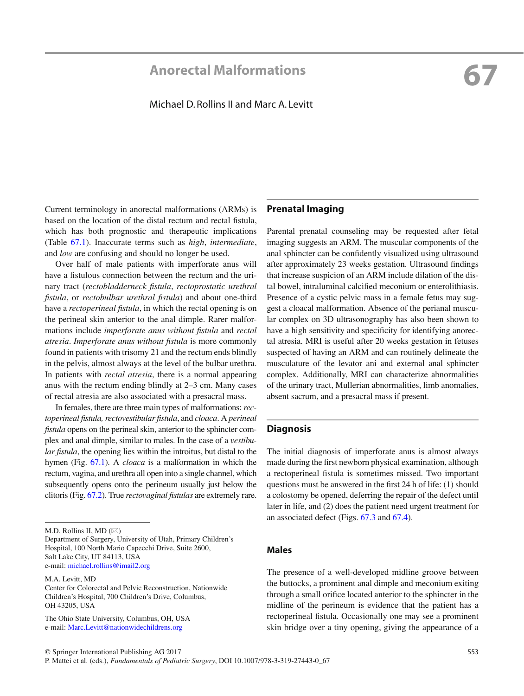# **Anorectal Malformations**

# Michael D. Rollins II and Marc A. Levitt

 Current terminology in anorectal malformations (ARMs) is based on the location of the distal rectum and rectal fistula, which has both prognostic and therapeutic implications (Table 67.1). Inaccurate terms such as *high*, *intermediate*, and *low* are confusing and should no longer be used.

 Over half of male patients with imperforate anus will have a fistulous connection between the rectum and the urinary tract (*rectobladderneck fistula*, *rectoprostatic urethral fistula*, or *rectobulbar urethral fistula*) and about one-third have a *rectoperineal fistula*, in which the rectal opening is on the perineal skin anterior to the anal dimple. Rarer malformations include *imperforate anus without fistula* and *rectal atresia. Imperforate anus without fistula* is more commonly found in patients with trisomy 21 and the rectum ends blindly in the pelvis, almost always at the level of the bulbar urethra. In patients with *rectal atresia* , there is a normal appearing anus with the rectum ending blindly at 2–3 cm. Many cases of rectal atresia are also associated with a presacral mass.

 In females, there are three main types of malformations: *rectoperineal fi stula, rectovestibular fi stula* , and *cloaca* . A *perineal fistula* opens on the perineal skin, anterior to the sphincter complex and anal dimple, similar to males. In the case of a *vestibular fistula*, the opening lies within the introitus, but distal to the hymen (Fig. [67.1](#page-1-0) ). A *cloaca* is a malformation in which the rectum, vagina, and urethra all open into a single channel, which subsequently opens onto the perineum usually just below the clitoris (Fig. 67.2). True *rectovaginal fistulas* are extremely rare.

M.D. Rollins II, MD  $(\boxtimes)$ 

M.A. Levitt, MD Center for Colorectal and Pelvic Reconstruction, Nationwide Children's Hospital, 700 Children's Drive, Columbus, OH 43205 , USA

The Ohio State University, Columbus, OH, USA e-mail: [Marc.Levitt@nationwidechildrens.org](mailto:Marc.Levitt@nationwidechildrens.org)

## **Prenatal Imaging**

 Parental prenatal counseling may be requested after fetal imaging suggests an ARM. The muscular components of the anal sphincter can be confidently visualized using ultrasound after approximately 23 weeks gestation. Ultrasound findings that increase suspicion of an ARM include dilation of the distal bowel, intraluminal calcified meconium or enterolithiasis. Presence of a cystic pelvic mass in a female fetus may suggest a cloacal malformation. Absence of the perianal muscular complex on 3D ultrasonography has also been shown to have a high sensitivity and specificity for identifying anorectal atresia. MRI is useful after 20 weeks gestation in fetuses suspected of having an ARM and can routinely delineate the musculature of the levator ani and external anal sphincter complex. Additionally, MRI can characterize abnormalities of the urinary tract, Mullerian abnormalities, limb anomalies, absent sacrum, and a presacral mass if present.

## **Diagnosis**

 The initial diagnosis of imperforate anus is almost always made during the first newborn physical examination, although a rectoperineal fistula is sometimes missed. Two important questions must be answered in the first  $24$  h of life: (1) should a colostomy be opened, deferring the repair of the defect until later in life, and (2) does the patient need urgent treatment for an associated defect (Figs. [67.3](#page-2-0) and 67.4).

#### **Males**

 The presence of a well-developed midline groove between the buttocks, a prominent anal dimple and meconium exiting through a small orifice located anterior to the sphincter in the midline of the perineum is evidence that the patient has a rectoperineal fistula. Occasionally one may see a prominent skin bridge over a tiny opening, giving the appearance of a

 **67**

Department of Surgery, University of Utah, Primary Children's Hospital, 100 North Mario Capecchi Drive, Suite 2600, Salt Lake City, UT 84113, USA e-mail: [michael.rollins@imail2.org](mailto:michael.rollins@imail2.org)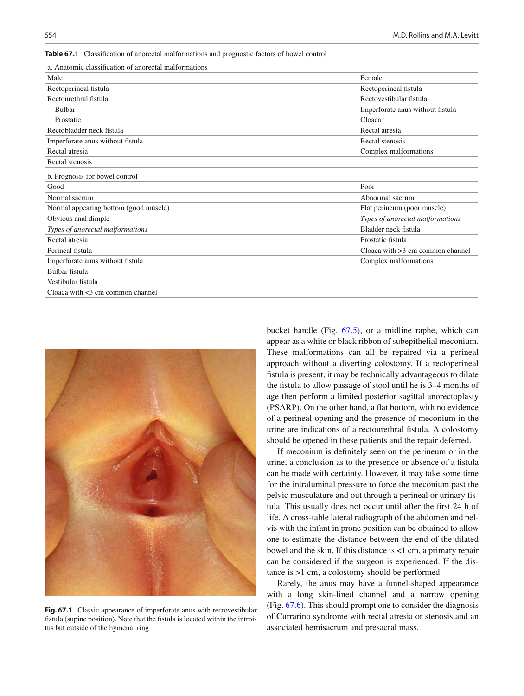| a. Anatomic classification of anorectal malformations |                                    |
|-------------------------------------------------------|------------------------------------|
| Male                                                  | Female                             |
| Rectoperineal fistula                                 | Rectoperineal fistula              |
| Rectourethral fistula                                 | Rectovestibular fistula            |
| <b>Bulbar</b>                                         | Imperforate anus without fistula   |
| Prostatic                                             | Cloaca                             |
| Rectobladder neck fistula                             | Rectal atresia                     |
| Imperforate anus without fistula                      | Rectal stenosis                    |
| Rectal atresia                                        | Complex malformations              |
| Rectal stenosis                                       |                                    |
| b. Prognosis for bowel control                        |                                    |
| Good                                                  | Poor                               |
| Normal sacrum                                         | Abnormal sacrum                    |
| Normal appearing bottom (good muscle)                 | Flat perineum (poor muscle)        |
| Obvious anal dimple                                   | Types of anorectal malformations   |
| Types of anorectal malformations                      | Bladder neck fistula               |
| Rectal atresia                                        | Prostatic fistula                  |
| Perineal fistula                                      | Cloaca with $>3$ cm common channel |
| Imperforate anus without fistula                      | Complex malformations              |
| Bulbar fistula                                        |                                    |
| Vestibular fistula                                    |                                    |
| Cloaca with $\leq$ 3 cm common channel                |                                    |
|                                                       |                                    |

<span id="page-1-0"></span>**Table 67.1** Classification of anorectal malformations and prognostic factors of bowel control



 **Fig. 67.1** Classic appearance of imperforate anus with rectovestibular fistula (supine position). Note that the fistula is located within the introitus but outside of the hymenal ring

bucket handle (Fig.  $67.5$ ), or a midline raphe, which can appear as a white or black ribbon of subepithelial meconium. These malformations can all be repaired via a perineal approach without a diverting colostomy. If a rectoperineal fistula is present, it may be technically advantageous to dilate the fistula to allow passage of stool until he is 3–4 months of age then perform a limited posterior sagittal anorectoplasty (PSARP). On the other hand, a flat bottom, with no evidence of a perineal opening and the presence of meconium in the urine are indications of a rectourethral fistula. A colostomy should be opened in these patients and the repair deferred.

If meconium is definitely seen on the perineum or in the urine, a conclusion as to the presence or absence of a fistula can be made with certainty. However, it may take some time for the intraluminal pressure to force the meconium past the pelvic musculature and out through a perineal or urinary fistula. This usually does not occur until after the first 24 h of life. A cross-table lateral radiograph of the abdomen and pelvis with the infant in prone position can be obtained to allow one to estimate the distance between the end of the dilated bowel and the skin. If this distance is <1 cm, a primary repair can be considered if the surgeon is experienced. If the distance is >1 cm, a colostomy should be performed.

 Rarely, the anus may have a funnel-shaped appearance with a long skin-lined channel and a narrow opening (Fig. [67.6](#page-4-0)). This should prompt one to consider the diagnosis of Currarino syndrome with rectal atresia or stenosis and an associated hemisacrum and presacral mass.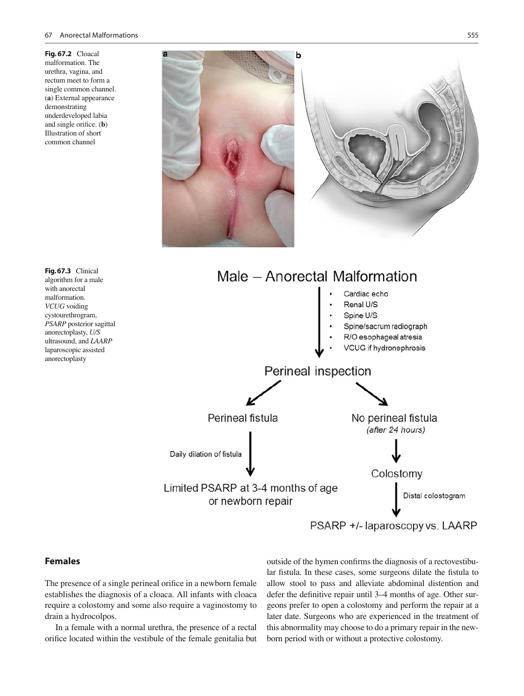#### <span id="page-2-0"></span>67 Anorectal Malformations

 **Fig. 67.2** Cloacal malformation. The urethra, vagina, and rectum meet to form a single common channel. ( **a** ) External appearance demonstrating underdeveloped labia and single orifice. (**b**) Illustration of short common channel





#### **Females**

The presence of a single perineal orifice in a newborn female establishes the diagnosis of a cloaca. All infants with cloaca require a colostomy and some also require a vaginostomy to drain a hydrocolpos.

 In a female with a normal urethra, the presence of a rectal orifice located within the vestibule of the female genitalia but

outside of the hymen confirms the diagnosis of a rectovestibular fistula. In these cases, some surgeons dilate the fistula to allow stool to pass and alleviate abdominal distention and defer the definitive repair until 3-4 months of age. Other surgeons prefer to open a colostomy and perform the repair at a later date. Surgeons who are experienced in the treatment of this abnormality may choose to do a primary repair in the newborn period with or without a protective colostomy.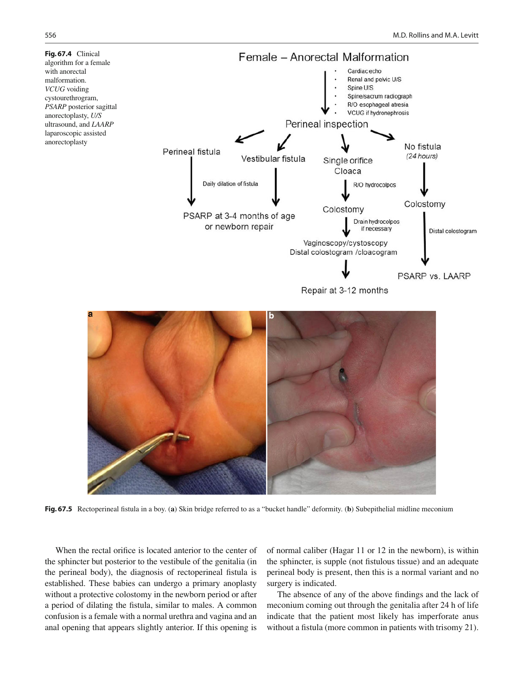<span id="page-3-0"></span>

Fig. 67.5 Rectoperineal fistula in a boy. (a) Skin bridge referred to as a "bucket handle" deformity. (b) Subepithelial midline meconium

When the rectal orifice is located anterior to the center of the sphincter but posterior to the vestibule of the genitalia (in the perineal body), the diagnosis of rectoperineal fistula is established. These babies can undergo a primary anoplasty without a protective colostomy in the newborn period or after a period of dilating the fistula, similar to males. A common confusion is a female with a normal urethra and vagina and an anal opening that appears slightly anterior. If this opening is

of normal caliber (Hagar 11 or 12 in the newborn), is within the sphincter, is supple (not fistulous tissue) and an adequate perineal body is present, then this is a normal variant and no surgery is indicated.

The absence of any of the above findings and the lack of meconium coming out through the genitalia after 24 h of life indicate that the patient most likely has imperforate anus without a fistula (more common in patients with trisomy 21).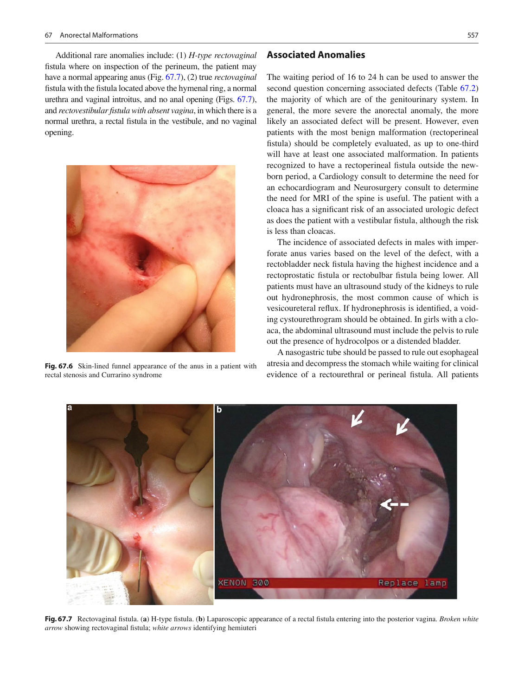<span id="page-4-0"></span> Additional rare anomalies include: (1) *H-type rectovaginal* fistula where on inspection of the perineum, the patient may have a normal appearing anus (Fig. 67.7 ), (2) true *rectovaginal* fistula with the fistula located above the hymenal ring, a normal urethra and vaginal introitus, and no anal opening (Figs. 67.7 ), and *rectovestibular fistula with absent vagina*, in which there is a normal urethra, a rectal fistula in the vestibule, and no vaginal opening .



 **Fig. 67.6** Skin-lined funnel appearance of the anus in a patient with rectal stenosis and Currarino syndrome

#### **Associated Anomalies**

 The waiting period of 16 to 24 h can be used to answer the second question concerning associated defects (Table 67.2) the majority of which are of the genitourinary system. In general, the more severe the anorectal anomaly, the more likely an associated defect will be present. However, even patients with the most benign malformation (rectoperineal fistula) should be completely evaluated, as up to one-third will have at least one associated malformation. In patients recognized to have a rectoperineal fistula outside the newborn period, a Cardiology consult to determine the need for an echocardiogram and Neurosurgery consult to determine the need for MRI of the spine is useful. The patient with a cloaca has a significant risk of an associated urologic defect as does the patient with a vestibular fistula, although the risk is less than cloacas.

 The incidence of associated defects in males with imperforate anus varies based on the level of the defect, with a rectobladder neck fistula having the highest incidence and a rectoprostatic fistula or rectobulbar fistula being lower. All patients must have an ultrasound study of the kidneys to rule out hydronephrosis, the most common cause of which is vesicoureteral reflux. If hydronephrosis is identified, a voiding cystourethrogram should be obtained. In girls with a cloaca, the abdominal ultrasound must include the pelvis to rule out the presence of hydrocolpos or a distended bladder.

 A nasogastric tube should be passed to rule out esophageal atresia and decompress the stomach while waiting for clinical evidence of a rectourethral or perineal fistula. All patients



Fig. 67.7 Rectovaginal fistula. (a) H-type fistula. (b) Laparoscopic appearance of a rectal fistula entering into the posterior vagina. *Broken white arrow* showing rectovaginal fistula; *white arrows* identifying hemiuteri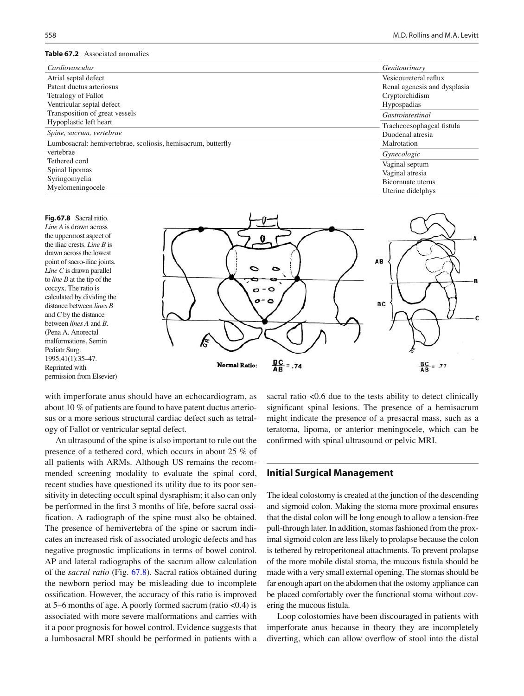#### <span id="page-5-0"></span> **Table 67.2** Associated anomalies

| Cardiovascular                                               | Genitourinary                |  |  |
|--------------------------------------------------------------|------------------------------|--|--|
| Atrial septal defect                                         | Vesicoureteral reflux        |  |  |
| Patent ductus arteriosus                                     | Renal agenesis and dysplasia |  |  |
| Tetralogy of Fallot                                          | Cryptorchidism               |  |  |
| Ventricular septal defect                                    | <b>Hypospadias</b>           |  |  |
| Transposition of great vessels                               | Gastrointestinal             |  |  |
| Hypoplastic left heart                                       | Tracheoesophageal fistula    |  |  |
| Spine, sacrum, vertebrae                                     | Duodenal atresia             |  |  |
| Lumbosacral: hemivertebrae, scoliosis, hemisacrum, butterfly | Malrotation                  |  |  |
| vertebrae                                                    | Gynecologic                  |  |  |
| Tethered cord                                                | Vaginal septum               |  |  |
| Spinal lipomas                                               | Vaginal atresia              |  |  |
| Syringomyelia                                                | Bicornuate uterus            |  |  |
| Myelomeningocele                                             | Uterine didelphys            |  |  |

 **Fig. 67.8** Sacral ratio. *Line A* is drawn across the uppermost aspect of the iliac crests. *Line B* is drawn across the lowest point of sacro-iliac joints. *Line C* is drawn parallel to *line B* at the tip of the coccyx. The ratio is calculated by dividing the distance between *lines B* and *C* by the distance between *lines A* and *B* . (Pena A. Anorectal malformations. Semin Pediatr Surg. 1995;41(1):35–47. Reprinted with permission from Elsevier)



with imperforate anus should have an echocardiogram, as about 10 % of patients are found to have patent ductus arteriosus or a more serious structural cardiac defect such as tetralogy of Fallot or ventricular septal defect.

 An ultrasound of the spine is also important to rule out the presence of a tethered cord, which occurs in about 25 % of all patients with ARMs. Although US remains the recommended screening modality to evaluate the spinal cord, recent studies have questioned its utility due to its poor sensitivity in detecting occult spinal dysraphism; it also can only be performed in the first 3 months of life, before sacral ossification. A radiograph of the spine must also be obtained. The presence of hemivertebra of the spine or sacrum indicates an increased risk of associated urologic defects and has negative prognostic implications in terms of bowel control. AP and lateral radiographs of the sacrum allow calculation of the *sacral ratio* (Fig. 67.8 ) *.* Sacral ratios obtained during the newborn period may be misleading due to incomplete ossification. However, the accuracy of this ratio is improved at 5–6 months of age. A poorly formed sacrum (ratio <0.4) is associated with more severe malformations and carries with it a poor prognosis for bowel control. Evidence suggests that a lumbosacral MRI should be performed in patients with a

sacral ratio <0.6 due to the tests ability to detect clinically significant spinal lesions. The presence of a hemisacrum might indicate the presence of a presacral mass, such as a teratoma, lipoma, or anterior meningocele, which can be confirmed with spinal ultrasound or pelvic MRI.

## **Initial Surgical Management**

 The ideal colostomy is created at the junction of the descending and sigmoid colon. Making the stoma more proximal ensures that the distal colon will be long enough to allow a tension-free pull-through later. In addition, stomas fashioned from the proximal sigmoid colon are less likely to prolapse because the colon is tethered by retroperitoneal attachments. To prevent prolapse of the more mobile distal stoma, the mucous fistula should be made with a very small external opening. The stomas should be far enough apart on the abdomen that the ostomy appliance can be placed comfortably over the functional stoma without covering the mucous fistula.

 Loop colostomies have been discouraged in patients with imperforate anus because in theory they are incompletely diverting, which can allow overflow of stool into the distal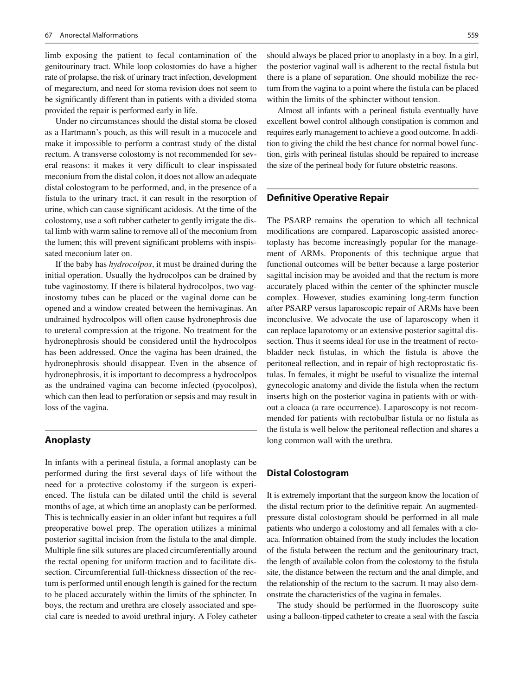limb exposing the patient to fecal contamination of the genitourinary tract. While loop colostomies do have a higher rate of prolapse, the risk of urinary tract infection, development of megarectum, and need for stoma revision does not seem to be significantly different than in patients with a divided stoma provided the repair is performed early in life.

 Under no circumstances should the distal stoma be closed as a Hartmann's pouch , as this will result in a mucocele and make it impossible to perform a contrast study of the distal rectum. A transverse colostomy is not recommended for several reasons: it makes it very difficult to clear inspissated meconium from the distal colon, it does not allow an adequate distal colostogram to be performed, and, in the presence of a fistula to the urinary tract, it can result in the resorption of urine, which can cause significant acidosis. At the time of the colostomy, use a soft rubber catheter to gently irrigate the distal limb with warm saline to remove all of the meconium from the lumen; this will prevent significant problems with inspissated meconium later on.

 If the baby has *hydrocolpos* , it must be drained during the initial operation. Usually the hydrocolpos can be drained by tube vaginostomy. If there is bilateral hydrocolpos, two vaginostomy tubes can be placed or the vaginal dome can be opened and a window created between the hemivaginas. An undrained hydrocolpos will often cause hydronephrosis due to ureteral compression at the trigone. No treatment for the hydronephrosis should be considered until the hydrocolpos has been addressed. Once the vagina has been drained, the hydronephrosis should disappear. Even in the absence of hydronephrosis, it is important to decompress a hydrocolpos as the undrained vagina can become infected (pyocolpos), which can then lead to perforation or sepsis and may result in loss of the vagina.

#### **Anoplasty**

In infants with a perineal fistula, a formal anoplasty can be performed during the first several days of life without the need for a protective colostomy if the surgeon is experienced. The fistula can be dilated until the child is several months of age, at which time an anoplasty can be performed. This is technically easier in an older infant but requires a full preoperative bowel prep. The operation utilizes a minimal posterior sagittal incision from the fistula to the anal dimple. Multiple fine silk sutures are placed circumferentially around the rectal opening for uniform traction and to facilitate dissection. Circumferential full-thickness dissection of the rectum is performed until enough length is gained for the rectum to be placed accurately within the limits of the sphincter. In boys, the rectum and urethra are closely associated and special care is needed to avoid urethral injury. A Foley catheter should always be placed prior to anoplasty in a boy. In a girl, the posterior vaginal wall is adherent to the rectal fistula but there is a plane of separation. One should mobilize the rectum from the vagina to a point where the fistula can be placed within the limits of the sphincter without tension.

Almost all infants with a perineal fistula eventually have excellent bowel control although constipation is common and requires early management to achieve a good outcome. In addition to giving the child the best chance for normal bowel function, girls with perineal fistulas should be repaired to increase the size of the perineal body for future obstetric reasons.

# **Definitive Operative Repair**

 The PSARP remains the operation to which all technical modifications are compared. Laparoscopic assisted anorectoplasty has become increasingly popular for the management of ARMs. Proponents of this technique argue that functional outcomes will be better because a large posterior sagittal incision may be avoided and that the rectum is more accurately placed within the center of the sphincter muscle complex. However, studies examining long-term function after PSARP versus laparoscopic repair of ARMs have been inconclusive. We advocate the use of laparoscopy when it can replace laparotomy or an extensive posterior sagittal dissection. Thus it seems ideal for use in the treatment of rectobladder neck fistulas, in which the fistula is above the peritoneal reflection, and in repair of high rectoprostatic fistulas. In females, it might be useful to visualize the internal gynecologic anatomy and divide the fistula when the rectum inserts high on the posterior vagina in patients with or without a cloaca (a rare occurrence). Laparoscopy is not recommended for patients with rectobulbar fistula or no fistula as the fistula is well below the peritoneal reflection and shares a long common wall with the urethra.

# **Distal Colostogram**

 It is extremely important that the surgeon know the location of the distal rectum prior to the definitive repair. An augmentedpressure distal colostogram should be performed in all male patients who undergo a colostomy and all females with a cloaca . Information obtained from the study includes the location of the fistula between the rectum and the genitourinary tract, the length of available colon from the colostomy to the fistula site, the distance between the rectum and the anal dimple, and the relationship of the rectum to the sacrum. It may also demonstrate the characteristics of the vagina in females.

The study should be performed in the fluoroscopy suite using a balloon-tipped catheter to create a seal with the fascia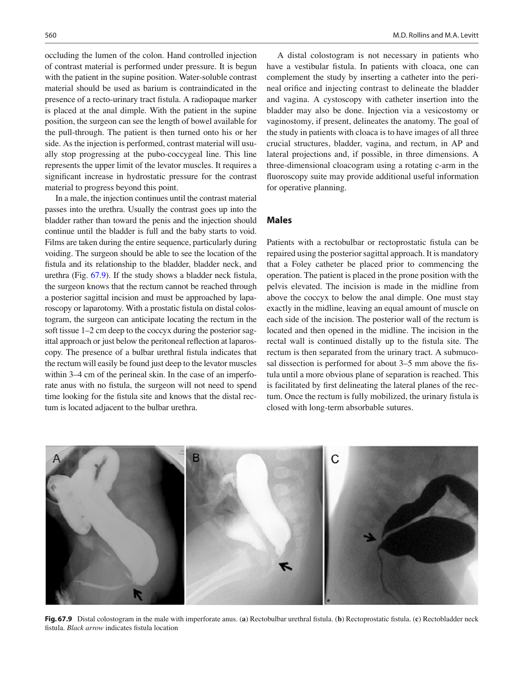occluding the lumen of the colon. Hand controlled injection of contrast material is performed under pressure. It is begun with the patient in the supine position. Water-soluble contrast material should be used as barium is contraindicated in the presence of a recto-urinary tract fistula. A radiopaque marker is placed at the anal dimple. With the patient in the supine position, the surgeon can see the length of bowel available for the pull-through. The patient is then turned onto his or her side. As the injection is performed, contrast material will usually stop progressing at the pubo-coccygeal line. This line represents the upper limit of the levator muscles. It requires a significant increase in hydrostatic pressure for the contrast material to progress beyond this point.

 In a male, the injection continues until the contrast material passes into the urethra. Usually the contrast goes up into the bladder rather than toward the penis and the injection should continue until the bladder is full and the baby starts to void. Films are taken during the entire sequence, particularly during voiding. The surgeon should be able to see the location of the fistula and its relationship to the bladder, bladder neck, and urethra (Fig.  $67.9$ ). If the study shows a bladder neck fistula, the surgeon knows that the rectum cannot be reached through a posterior sagittal incision and must be approached by laparoscopy or laparotomy. With a prostatic fistula on distal colostogram, the surgeon can anticipate locating the rectum in the soft tissue 1–2 cm deep to the coccyx during the posterior sagittal approach or just below the peritoneal reflection at laparoscopy. The presence of a bulbar urethral fistula indicates that the rectum will easily be found just deep to the levator muscles within 3–4 cm of the perineal skin. In the case of an imperforate anus with no fistula, the surgeon will not need to spend time looking for the fistula site and knows that the distal rectum is located adjacent to the bulbar urethra.

 A distal colostogram is not necessary in patients who have a vestibular fistula. In patients with cloaca, one can complement the study by inserting a catheter into the perineal orifice and injecting contrast to delineate the bladder and vagina. A cystoscopy with catheter insertion into the bladder may also be done. Injection via a vesicostomy or vaginostomy, if present, delineates the anatomy. The goal of the study in patients with cloaca is to have images of all three crucial structures, bladder, vagina, and rectum, in AP and lateral projections and, if possible, in three dimensions. A three-dimensional cloacogram using a rotating c-arm in the fluoroscopy suite may provide additional useful information for operative planning.

## **Males**

Patients with a rectobulbar or rectoprostatic fistula can be repaired using the posterior sagittal approach. It is mandatory that a Foley catheter be placed prior to commencing the operation. The patient is placed in the prone position with the pelvis elevated. The incision is made in the midline from above the coccyx to below the anal dimple. One must stay exactly in the midline, leaving an equal amount of muscle on each side of the incision. The posterior wall of the rectum is located and then opened in the midline. The incision in the rectal wall is continued distally up to the fistula site. The rectum is then separated from the urinary tract. A submucosal dissection is performed for about  $3-5$  mm above the fistula until a more obvious plane of separation is reached. This is facilitated by first delineating the lateral planes of the rectum. Once the rectum is fully mobilized, the urinary fistula is closed with long-term absorbable sutures.



Fig. 67.9 Distal colostogram in the male with imperforate anus. (a) Rectobulbar urethral fistula. (b) Rectoprostatic fistula. (c) Rectobladder neck fistula. *Black arrow* indicates fistula location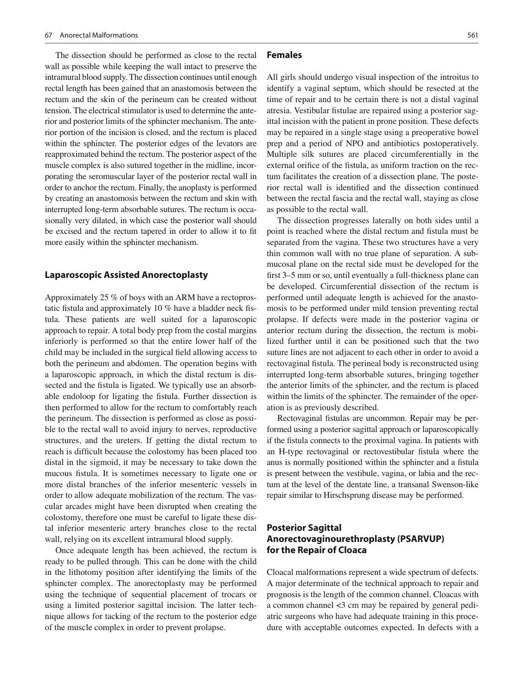The dissection should be performed as close to the rectal wall as possible while keeping the wall intact to preserve the intramural blood supply. The dissection continues until enough rectal length has been gained that an anastomosis between the rectum and the skin of the perineum can be created without tension. The electrical stimulator is used to determine the anterior and posterior limits of the sphincter mechanism. The anterior portion of the incision is closed, and the rectum is placed within the sphincter. The posterior edges of the levators are reapproximated behind the rectum. The posterior aspect of the muscle complex is also sutured together in the midline, incorporating the seromuscular layer of the posterior rectal wall in order to anchor the rectum. Finally, the anoplasty is performed by creating an anastomosis between the rectum and skin with interrupted long-term absorbable sutures. The rectum is occasionally very dilated, in which case the posterior wall should be excised and the rectum tapered in order to allow it to fit more easily within the sphincter mechanism.

#### **Laparoscopic Assisted Anorectoplasty**

 Approximately 25 % of boys with an ARM have a rectoprostatic fistula and approximately 10  $%$  have a bladder neck fistula. These patients are well suited for a laparoscopic approach to repair. A total body prep from the costal margins inferiorly is performed so that the entire lower half of the child may be included in the surgical field allowing access to both the perineum and abdomen. The operation begins with a laparoscopic approach, in which the distal rectum is dissected and the fistula is ligated. We typically use an absorbable endoloop for ligating the fistula. Further dissection is then performed to allow for the rectum to comfortably reach the perineum. The dissection is performed as close as possible to the rectal wall to avoid injury to nerves, reproductive structures, and the ureters. If getting the distal rectum to reach is difficult because the colostomy has been placed too distal in the sigmoid, it may be necessary to take down the mucous fistula. It is sometimes necessary to ligate one or more distal branches of the inferior mesenteric vessels in order to allow adequate mobilization of the rectum. The vascular arcades might have been disrupted when creating the colostomy, therefore one must be careful to ligate these distal inferior mesenteric artery branches close to the rectal wall, relying on its excellent intramural blood supply.

 Once adequate length has been achieved, the rectum is ready to be pulled through. This can be done with the child in the lithotomy position after identifying the limits of the sphincter complex. The anorectoplasty may be performed using the technique of sequential placement of trocars or using a limited posterior sagittal incision. The latter technique allows for tacking of the rectum to the posterior edge of the muscle complex in order to prevent prolapse .

#### **Females**

 All girls should undergo visual inspection of the introitus to identify a vaginal septum, which should be resected at the time of repair and to be certain there is not a distal vaginal atresia. Vestibular fistulae are repaired using a posterior sagittal incision with the patient in prone position. These defects may be repaired in a single stage using a preoperative bowel prep and a period of NPO and antibiotics postoperatively. Multiple silk sutures are placed circumferentially in the external orifice of the fistula, as uniform traction on the rectum facilitates the creation of a dissection plane. The posterior rectal wall is identified and the dissection continued between the rectal fascia and the rectal wall, staying as close as possible to the rectal wall.

 The dissection progresses laterally on both sides until a point is reached where the distal rectum and fistula must be separated from the vagina. These two structures have a very thin common wall with no true plane of separation. A submucosal plane on the rectal side must be developed for the first 3–5 mm or so, until eventually a full-thickness plane can be developed. Circumferential dissection of the rectum is performed until adequate length is achieved for the anastomosis to be performed under mild tension preventing rectal prolapse. If defects were made in the posterior vagina or anterior rectum during the dissection, the rectum is mobilized further until it can be positioned such that the two suture lines are not adjacent to each other in order to avoid a rectovaginal fistula. The perineal body is reconstructed using interrupted long-term absorbable sutures, bringing together the anterior limits of the sphincter, and the rectum is placed within the limits of the sphincter. The remainder of the operation is as previously described.

Rectovaginal fistulas are uncommon. Repair may be performed using a posterior sagittal approach or laparoscopically if the fistula connects to the proximal vagina. In patients with an H-type rectovaginal or rectovestibular fistula where the anus is normally positioned within the sphincter and a fistula is present between the vestibule, vagina, or labia and the rectum at the level of the dentate line, a transanal Swenson-like repair similar to Hirschsprung disease may be performed.

# **Posterior Sagittal Anorectovaginourethroplasty (PSARVUP) for the Repair of Cloaca**

 Cloacal malformations represent a wide spectrum of defects. A major determinate of the technical approach to repair and prognosis is the length of the common channel. Cloacas with a common channel <3 cm may be repaired by general pediatric surgeons who have had adequate training in this procedure with acceptable outcomes expected. In defects with a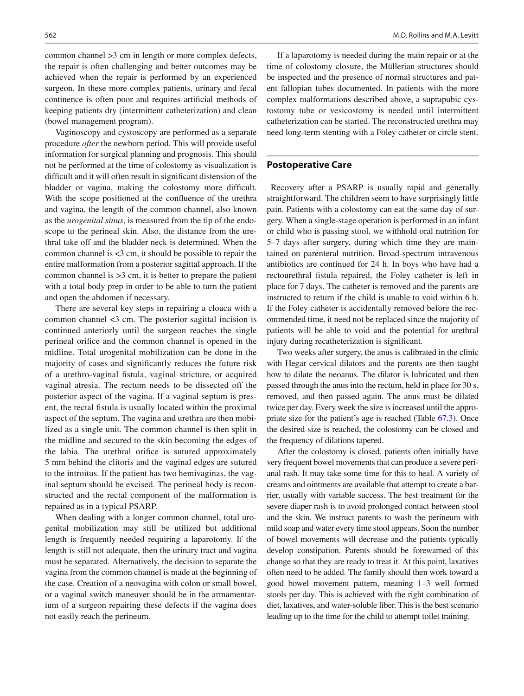common channel >3 cm in length or more complex defects, the repair is often challenging and better outcomes may be achieved when the repair is performed by an experienced surgeon. In these more complex patients, urinary and fecal continence is often poor and requires artificial methods of keeping patients dry (intermittent catheterization) and clean (bowel management program).

 Vaginoscopy and cystoscopy are performed as a separate procedure *after* the newborn period. This will provide useful information for surgical planning and prognosis. This should not be performed at the time of colostomy as visualization is difficult and it will often result in significant distension of the bladder or vagina, making the colostomy more difficult. With the scope positioned at the confluence of the urethra and vagina, the length of the common channel, also known as the *urogenital sinus* , is measured from the tip of the endoscope to the perineal skin. Also, the distance from the urethral take off and the bladder neck is determined. When the common channel is <3 cm, it should be possible to repair the entire malformation from a posterior sagittal approach. If the common channel is >3 cm, it is better to prepare the patient with a total body prep in order to be able to turn the patient and open the abdomen if necessary.

 There are several key steps in repairing a cloaca with a common channel <3 cm. The posterior sagittal incision is continued anteriorly until the surgeon reaches the single perineal orifice and the common channel is opened in the midline. Total urogenital mobilization can be done in the majority of cases and significantly reduces the future risk of a urethro-vaginal fistula, vaginal stricture, or acquired vaginal atresia. The rectum needs to be dissected off the posterior aspect of the vagina. If a vaginal septum is present, the rectal fistula is usually located within the proximal aspect of the septum. The vagina and urethra are then mobilized as a single unit. The common channel is then split in the midline and secured to the skin becoming the edges of the labia. The urethral orifice is sutured approximately 5 mm behind the clitoris and the vaginal edges are sutured to the introitus. If the patient has two hemivaginas, the vaginal septum should be excised. The perineal body is reconstructed and the rectal component of the malformation is repaired as in a typical PSARP.

 When dealing with a longer common channel, total urogenital mobilization may still be utilized but additional length is frequently needed requiring a laparotomy. If the length is still not adequate, then the urinary tract and vagina must be separated. Alternatively, the decision to separate the vagina from the common channel is made at the beginning of the case. Creation of a neovagina with colon or small bowel, or a vaginal switch maneuver should be in the armamentarium of a surgeon repairing these defects if the vagina does not easily reach the perineum.

 If a laparotomy is needed during the main repair or at the time of colostomy closure, the Müllerian structures should be inspected and the presence of normal structures and patent fallopian tubes documented. In patients with the more complex malformations described above, a suprapubic cystostomy tube or vesicostomy is needed until intermittent catheterization can be started. The reconstructed urethra may need long-term stenting with a Foley catheter or circle stent.

#### **Postoperative Care**

 Recovery after a PSARP is usually rapid and generally straightforward. The children seem to have surprisingly little pain. Patients with a colostomy can eat the same day of surgery. When a single-stage operation is performed in an infant or child who is passing stool, we withhold oral nutrition for 5–7 days after surgery, during which time they are maintained on parenteral nutrition. Broad-spectrum intravenous antibiotics are continued for 24 h. In boys who have had a rectourethral fistula repaired, the Foley catheter is left in place for 7 days. The catheter is removed and the parents are instructed to return if the child is unable to void within 6 h. If the Foley catheter is accidentally removed before the recommended time, it need not be replaced since the majority of patients will be able to void and the potential for urethral injury during recatheterization is significant.

 Two weeks after surgery, the anus is calibrated in the clinic with Hegar cervical dilators and the parents are then taught how to dilate the neoanus. The dilator is lubricated and then passed through the anus into the rectum, held in place for 30 s, removed, and then passed again. The anus must be dilated twice per day. Every week the size is increased until the appropriate size for the patient's age is reached (Table [67.3 \)](#page-10-0). Once the desired size is reached, the colostomy can be closed and the frequency of dilations tapered.

 After the colostomy is closed, patients often initially have very frequent bowel movements that can produce a severe perianal rash. It may take some time for this to heal. A variety of creams and ointments are available that attempt to create a barrier, usually with variable success. The best treatment for the severe diaper rash is to avoid prolonged contact between stool and the skin. We instruct parents to wash the perineum with mild soap and water every time stool appears. Soon the number of bowel movements will decrease and the patients typically develop constipation. Parents should be forewarned of this change so that they are ready to treat it. At this point, laxatives often need to be added. The family should then work toward a good bowel movement pattern, meaning 1–3 well formed stools per day. This is achieved with the right combination of diet, laxatives, and water-soluble fiber. This is the best scenario leading up to the time for the child to attempt toilet training.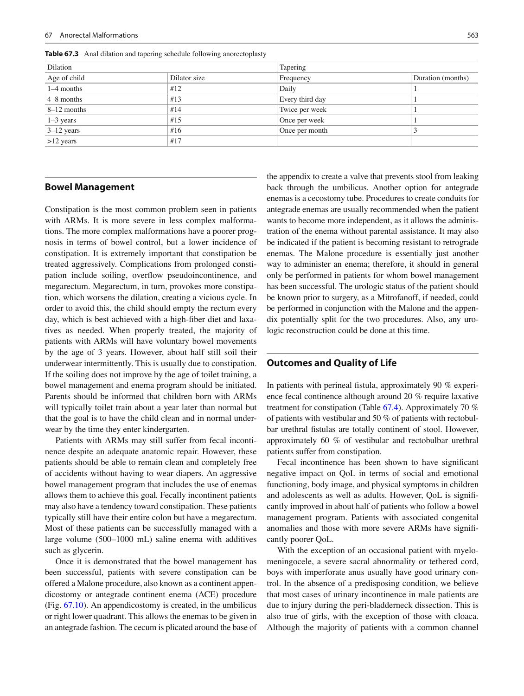| Dilation      |              | Tapering        |                   |  |
|---------------|--------------|-----------------|-------------------|--|
| Age of child  | Dilator size | Frequency       | Duration (months) |  |
| $1-4$ months  | #12          | Daily           |                   |  |
| $4-8$ months  | #13          | Every third day |                   |  |
| $8-12$ months | #14          | Twice per week  |                   |  |
| $1-3$ years   | #15          | Once per week   |                   |  |
| $3-12$ years  | #16          | Once per month  |                   |  |
| $>12$ years   | #17          |                 |                   |  |

<span id="page-10-0"></span> **Table 67.3** Anal dilation and tapering schedule following anorectoplasty

## **Bowel Management**

 Constipation is the most common problem seen in patients with ARMs. It is more severe in less complex malformations. The more complex malformations have a poorer prognosis in terms of bowel control, but a lower incidence of constipation. It is extremely important that constipation be treated aggressively. Complications from prolonged constipation include soiling, overflow pseudoincontinence, and megarectum. Megarectum, in turn, provokes more constipation, which worsens the dilation, creating a vicious cycle. In order to avoid this, the child should empty the rectum every day, which is best achieved with a high-fiber diet and laxatives as needed. When properly treated, the majority of patients with ARMs will have voluntary bowel movements by the age of 3 years. However, about half still soil their underwear intermittently. This is usually due to constipation. If the soiling does not improve by the age of toilet training, a bowel management and enema program should be initiated. Parents should be informed that children born with ARMs will typically toilet train about a year later than normal but that the goal is to have the child clean and in normal underwear by the time they enter kindergarten.

 Patients with ARMs may still suffer from fecal incontinence despite an adequate anatomic repair. However, these patients should be able to remain clean and completely free of accidents without having to wear diapers. An aggressive bowel management program that includes the use of enemas allows them to achieve this goal *.* Fecally incontinent patients may also have a tendency toward constipation. These patients typically still have their entire colon but have a megarectum. Most of these patients can be successfully managed with a large volume (500–1000 mL) saline enema with additives such as glycerin.

 Once it is demonstrated that the bowel management has been successful, patients with severe constipation can be offered a Malone procedure, also known as a continent appendicostomy or antegrade continent enema (ACE) procedure (Fig.  $67.10$ ). An appendicostomy is created, in the umbilicus or right lower quadrant. This allows the enemas to be given in an antegrade fashion. The cecum is plicated around the base of

the appendix to create a valve that prevents stool from leaking back through the umbilicus. Another option for antegrade enemas is a cecostomy tube. Procedures to create conduits for antegrade enemas are usually recommended when the patient wants to become more independent, as it allows the administration of the enema without parental assistance. It may also be indicated if the patient is becoming resistant to retrograde enemas. The Malone procedure is essentially just another way to administer an enema; therefore, it should in general only be performed in patients for whom bowel management has been successful. The urologic status of the patient should be known prior to surgery, as a Mitrofanoff, if needed, could be performed in conjunction with the Malone and the appendix potentially split for the two procedures. Also, any urologic reconstruction could be done at this time.

## **Outcomes and Quality of Life**

In patients with perineal fistula, approximately 90  $%$  experience fecal continence although around 20 % require laxative treatment for constipation (Table  $67.4$ ). Approximately 70 % of patients with vestibular and 50 % of patients with rectobulbar urethral fistulas are totally continent of stool. However, approximately 60 % of vestibular and rectobulbar urethral patients suffer from constipation.

Fecal incontinence has been shown to have significant negative impact on QoL in terms of social and emotional functioning, body image, and physical symptoms in children and adolescents as well as adults. However, OoL is significantly improved in about half of patients who follow a bowel management program. Patients with associated congenital anomalies and those with more severe ARMs have significantly poorer QoL.

 With the exception of an occasional patient with myelomeningocele, a severe sacral abnormality or tethered cord, boys with imperforate anus usually have good urinary control. In the absence of a predisposing condition, we believe that most cases of urinary incontinence in male patients are due to injury during the peri-bladderneck dissection. This is also true of girls, with the exception of those with cloaca. Although the majority of patients with a common channel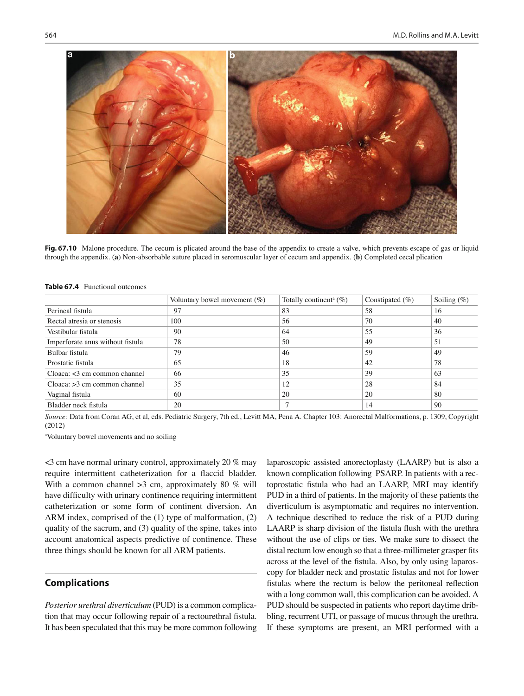<span id="page-11-0"></span>

 **Fig. 67.10** Malone procedure. The cecum is plicated around the base of the appendix to create a valve, which prevents escape of gas or liquid through the appendix. ( **a** ) Non-absorbable suture placed in seromuscular layer of cecum and appendix. ( **b** ) Completed cecal plication

|                                    | Voluntary bowel movement $(\%)$ | Totally continent <sup>a</sup> $(\%)$ | Constipated $(\% )$ | Soiling $(\%)$ |
|------------------------------------|---------------------------------|---------------------------------------|---------------------|----------------|
| Perineal fistula                   | 97                              | 83                                    | 58                  | 16             |
| Rectal atresia or stenosis         | 100                             | 56                                    | 70                  | 40             |
| Vestibular fistula                 | 90                              | 64                                    | 55                  | 36             |
| Imperforate anus without fistula   | 78                              | 50                                    | 49                  | 51             |
| Bulbar fistula                     | 79                              | 46                                    | 59                  | 49             |
| Prostatic fistula                  | 65                              | 18                                    | 42                  | 78             |
| $Cloaca: \leq 3 cm common channel$ | 66                              | 35                                    | 39                  | 63             |
| $Cloaca: >3$ cm common channel     | 35                              | 12                                    | 28                  | 84             |
| Vaginal fistula                    | 60                              | 20                                    | 20                  | 80             |
| Bladder neck fistula               | 20                              |                                       | 14                  | 90             |

 **Table 67.4** Functional outcomes

*Source:* Data from Coran AG, et al, eds. Pediatric Surgery, 7th ed., Levitt MA, Pena A. Chapter 103: Anorectal Malformations, p. 1309, Copyright (2012)

a Voluntary bowel movements and no soiling

 $\leq$ 3 cm have normal urinary control, approximately 20 % may require intermittent catheterization for a flaccid bladder. With a common channel  $>3$  cm, approximately 80 % will have difficulty with urinary continence requiring intermittent catheterization or some form of continent diversion. An ARM index, comprised of the (1) type of malformation, (2) quality of the sacrum, and (3) quality of the spine, takes into account anatomical aspects predictive of continence. These three things should be known for all ARM patients.

## **Complications**

*Posterior urethral diverticulum* (PUD) is a common complication that may occur following repair of a rectourethral fistula. It has been speculated that this may be more common following  laparoscopic assisted anorectoplasty (LAARP) but is also a known complication following PSARP. In patients with a rectoprostatic fistula who had an LAARP, MRI may identify PUD in a third of patients. In the majority of these patients the diverticulum is asymptomatic and requires no intervention. A technique described to reduce the risk of a PUD during LAARP is sharp division of the fistula flush with the urethra without the use of clips or ties. We make sure to dissect the distal rectum low enough so that a three-millimeter grasper fits across at the level of the fistula. Also, by only using laparoscopy for bladder neck and prostatic fistulas and not for lower fistulas where the rectum is below the peritoneal reflection with a long common wall, this complication can be avoided. A PUD should be suspected in patients who report daytime dribbling, recurrent UTI, or passage of mucus through the urethra. If these symptoms are present, an MRI performed with a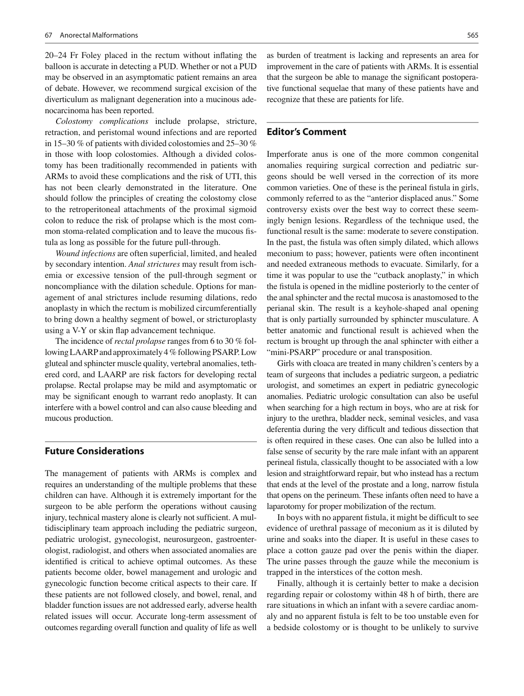$20-24$  Fr Foley placed in the rectum without inflating the balloon is accurate in detecting a PUD. Whether or not a PUD may be observed in an asymptomatic patient remains an area of debate. However, we recommend surgical excision of the diverticulum as malignant degeneration into a mucinous adenocarcinoma has been reported.

*Colostomy complications* include prolapse, stricture, retraction, and peristomal wound infections and are reported in 15–30 % of patients with divided colostomies and 25–30 % in those with loop colostomies. Although a divided colostomy has been traditionally recommended in patients with ARMs to avoid these complications and the risk of UTI, this has not been clearly demonstrated in the literature. One should follow the principles of creating the colostomy close to the retroperitoneal attachments of the proximal sigmoid colon to reduce the risk of prolapse which is the most common stoma-related complication and to leave the mucous fistula as long as possible for the future pull-through.

*Wound infections* are often superficial, limited, and healed by secondary intention. *Anal strictures* may result from ischemia or excessive tension of the pull-through segment or noncompliance with the dilation schedule. Options for management of anal strictures include resuming dilations, redo anoplasty in which the rectum is mobilized circumferentially to bring down a healthy segment of bowel, or stricturoplasty using a V-Y or skin flap advancement technique.

 The incidence of *rectal prolapse* ranges from 6 to 30 % following LAARP and approximately 4 % following PSARP. Low gluteal and sphincter muscle quality, vertebral anomalies, tethered cord, and LAARP are risk factors for developing rectal prolapse. Rectal prolapse may be mild and asymptomatic or may be significant enough to warrant redo anoplasty. It can interfere with a bowel control and can also cause bleeding and mucous production.

## **Future Considerations**

 The management of patients with ARMs is complex and requires an understanding of the multiple problems that these children can have. Although it is extremely important for the surgeon to be able perform the operations without causing injury, technical mastery alone is clearly not sufficient. A multidisciplinary team approach including the pediatric surgeon, pediatric urologist, gynecologist, neurosurgeon, gastroenterologist, radiologist, and others when associated anomalies are identified is critical to achieve optimal outcomes. As these patients become older, bowel management and urologic and gynecologic function become critical aspects to their care. If these patients are not followed closely, and bowel, renal, and bladder function issues are not addressed early, adverse health related issues will occur. Accurate long-term assessment of outcomes regarding overall function and quality of life as well

as burden of treatment is lacking and represents an area for improvement in the care of patients with ARMs. It is essential that the surgeon be able to manage the significant postoperative functional sequelae that many of these patients have and recognize that these are patients for life.

#### **Editor's Comment**

 Imperforate anus is one of the more common congenital anomalies requiring surgical correction and pediatric surgeons should be well versed in the correction of its more common varieties. One of these is the perineal fistula in girls, commonly referred to as the "anterior displaced anus." Some controversy exists over the best way to correct these seemingly benign lesions. Regardless of the technique used, the functional result is the same: moderate to severe constipation. In the past, the fistula was often simply dilated, which allows meconium to pass; however, patients were often incontinent and needed extraneous methods to evacuate. Similarly, for a time it was popular to use the "cutback anoplasty," in which the fistula is opened in the midline posteriorly to the center of the anal sphincter and the rectal mucosa is anastomosed to the perianal skin. The result is a keyhole-shaped anal opening that is only partially surrounded by sphincter musculature. A better anatomic and functional result is achieved when the rectum is brought up through the anal sphincter with either a "mini-PSARP" procedure or anal transposition.

 Girls with cloaca are treated in many children's centers by a team of surgeons that includes a pediatric surgeon, a pediatric urologist, and sometimes an expert in pediatric gynecologic anomalies. Pediatric urologic consultation can also be useful when searching for a high rectum in boys, who are at risk for injury to the urethra, bladder neck, seminal vesicles, and vasa deferentia during the very difficult and tedious dissection that is often required in these cases. One can also be lulled into a false sense of security by the rare male infant with an apparent perineal fistula, classically thought to be associated with a low lesion and straightforward repair, but who instead has a rectum that ends at the level of the prostate and a long, narrow fistula that opens on the perineum. These infants often need to have a laparotomy for proper mobilization of the rectum.

In boys with no apparent fistula, it might be difficult to see evidence of urethral passage of meconium as it is diluted by urine and soaks into the diaper. It is useful in these cases to place a cotton gauze pad over the penis within the diaper. The urine passes through the gauze while the meconium is trapped in the interstices of the cotton mesh.

 Finally, although it is certainly better to make a decision regarding repair or colostomy within 48 h of birth, there are rare situations in which an infant with a severe cardiac anomaly and no apparent fistula is felt to be too unstable even for a bedside colostomy or is thought to be unlikely to survive